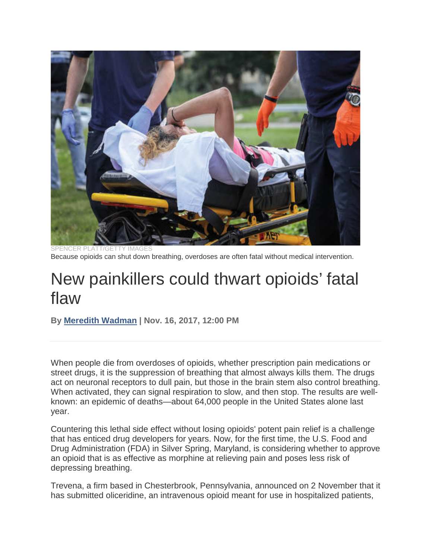

SPENCER PLATT/GETTY IMAGES Because opioids can shut down breathing, overdoses are often fatal without medical intervention.

## New painkillers could thwart opioids' fatal flaw

**By [Meredith Wadman](http://www.sciencemag.org/author/meredith-wadman) | Nov. 16, 2017, 12:00 PM**

When people die from overdoses of opioids, whether prescription pain medications or street drugs, it is the suppression of breathing that almost always kills them. The drugs act on neuronal receptors to dull pain, but those in the brain stem also control breathing. When activated, they can signal respiration to slow, and then stop. The results are wellknown: an epidemic of deaths—about 64,000 people in the United States alone last year.

Countering this lethal side effect without losing opioids' potent pain relief is a challenge that has enticed drug developers for years. Now, for the first time, the U.S. Food and Drug Administration (FDA) in Silver Spring, Maryland, is considering whether to approve an opioid that is as effective as morphine at relieving pain and poses less risk of depressing breathing.

Trevena, a firm based in Chesterbrook, Pennsylvania, announced on 2 November that it has submitted oliceridine, an intravenous opioid meant for use in hospitalized patients,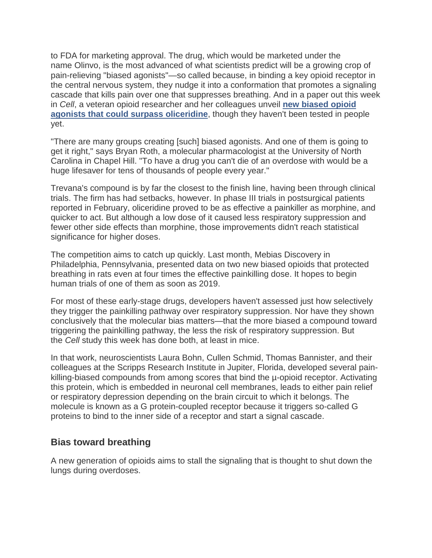to FDA for marketing approval. The drug, which would be marketed under the name Olinvo, is the most advanced of what scientists predict will be a growing crop of pain-relieving "biased agonists"—so called because, in binding a key opioid receptor in the central nervous system, they nudge it into a conformation that promotes a signaling cascade that kills pain over one that suppresses breathing. And in a paper out this week in *Cell*, a veteran opioid researcher and her colleagues unveil **[new biased opioid](http://www.cell.com/cell/abstract/S0092-8674(17)31257-6)  [agonists that could surpass](http://www.cell.com/cell/abstract/S0092-8674(17)31257-6) oliceridine**, though they haven't been tested in people yet.

"There are many groups creating [such] biased agonists. And one of them is going to get it right," says Bryan Roth, a molecular pharmacologist at the University of North Carolina in Chapel Hill. "To have a drug you can't die of an overdose with would be a huge lifesaver for tens of thousands of people every year."

Trevana's compound is by far the closest to the finish line, having been through clinical trials. The firm has had setbacks, however. In phase III trials in postsurgical patients reported in February, oliceridine proved to be as effective a painkiller as morphine, and quicker to act. But although a low dose of it caused less respiratory suppression and fewer other side effects than morphine, those improvements didn't reach statistical significance for higher doses.

The competition aims to catch up quickly. Last month, Mebias Discovery in Philadelphia, Pennsylvania, presented data on two new biased opioids that protected breathing in rats even at four times the effective painkilling dose. It hopes to begin human trials of one of them as soon as 2019.

For most of these early-stage drugs, developers haven't assessed just how selectively they trigger the painkilling pathway over respiratory suppression. Nor have they shown conclusively that the molecular bias matters—that the more biased a compound toward triggering the painkilling pathway, the less the risk of respiratory suppression. But the *Cell* study this week has done both, at least in mice.

In that work, neuroscientists Laura Bohn, Cullen Schmid, Thomas Bannister, and their colleagues at the Scripps Research Institute in Jupiter, Florida, developed several painkilling-biased compounds from among scores that bind the µ-opioid receptor. Activating this protein, which is embedded in neuronal cell membranes, leads to either pain relief or respiratory depression depending on the brain circuit to which it belongs. The molecule is known as a G protein-coupled receptor because it triggers so-called G proteins to bind to the inner side of a receptor and start a signal cascade.

## **Bias toward breathing**

A new generation of opioids aims to stall the signaling that is thought to shut down the lungs during overdoses.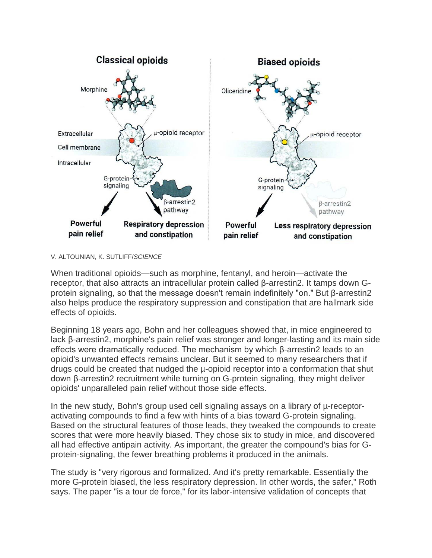

## V. ALTOUNIAN, K. SUTLIFF/*SCIENCE*

When traditional opioids—such as morphine, fentanyl, and heroin—activate the receptor, that also attracts an intracellular protein called β-arrestin2. It tamps down Gprotein signaling, so that the message doesn't remain indefinitely "on." But β-arrestin2 also helps produce the respiratory suppression and constipation that are hallmark side effects of opioids.

Beginning 18 years ago, Bohn and her colleagues showed that, in mice engineered to lack β-arrestin2, morphine's pain relief was stronger and longer-lasting and its main side effects were dramatically reduced. The mechanism by which β-arrestin2 leads to an opioid's unwanted effects remains unclear. But it seemed to many researchers that if drugs could be created that nudged the µ-opioid receptor into a conformation that shut down β-arrestin2 recruitment while turning on G-protein signaling, they might deliver opioids' unparalleled pain relief without those side effects.

In the new study, Bohn's group used cell signaling assays on a library of µ-receptoractivating compounds to find a few with hints of a bias toward G-protein signaling. Based on the structural features of those leads, they tweaked the compounds to create scores that were more heavily biased. They chose six to study in mice, and discovered all had effective antipain activity. As important, the greater the compound's bias for Gprotein-signaling, the fewer breathing problems it produced in the animals.

The study is "very rigorous and formalized. And it's pretty remarkable. Essentially the more G-protein biased, the less respiratory depression. In other words, the safer," Roth says. The paper "is a tour de force," for its labor-intensive validation of concepts that